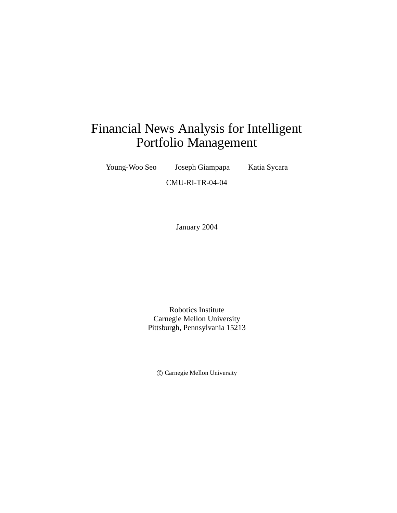# Financial News Analysis for Intelligent Portfolio Management

Young-Woo Seo Joseph Giampapa Katia Sycara

CMU-RI-TR-04-04

January 2004

Robotics Institute Carnegie Mellon University Pittsburgh, Pennsylvania 15213

c Carnegie Mellon University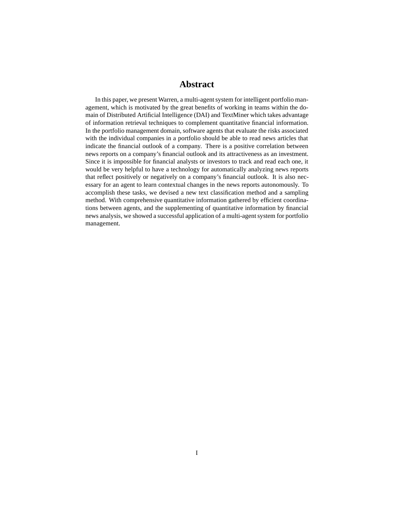### **Abstract**

In this paper, we present Warren, a multi-agent system for intelligent portfolio management, which is motivated by the great benefits of working in teams within the domain of Distributed Artificial Intelligence (DAI) and TextMiner which takes advantage of information retrieval techniques to complement quantitative financial information. In the portfolio management domain, software agents that evaluate the risks associated with the individual companies in a portfolio should be able to read news articles that indicate the financial outlook of a company. There is a positive correlation between news reports on a company's financial outlook and its attractiveness as an investment. Since it is impossible for financial analysts or investors to track and read each one, it would be very helpful to have a technology for automatically analyzing news reports that reflect positively or negatively on a company's financial outlook. It is also necessary for an agent to learn contextual changes in the news reports autonomously. To accomplish these tasks, we devised a new text classification method and a sampling method. With comprehensive quantitative information gathered by efficient coordinations between agents, and the supplementing of quantitative information by financial news analysis, we showed a successful application of a multi-agent system for portfolio management.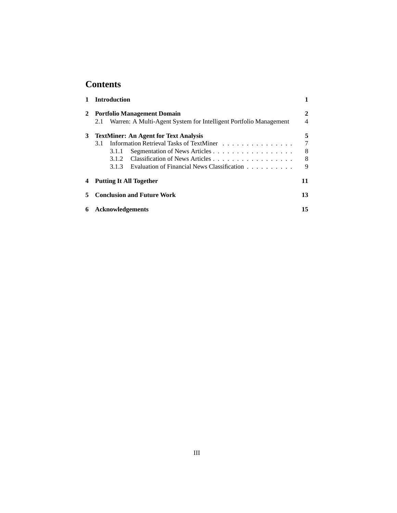## **Contents**

|   | <b>Introduction</b>                                                      |                |  |  |  |
|---|--------------------------------------------------------------------------|----------------|--|--|--|
|   | <b>Portfolio Management Domain</b>                                       | $\mathbf{2}$   |  |  |  |
|   | Warren: A Multi-Agent System for Intelligent Portfolio Management<br>2.1 | $\overline{4}$ |  |  |  |
| 3 | <b>TextMiner: An Agent for Text Analysis</b>                             | 5              |  |  |  |
|   | Information Retrieval Tasks of TextMiner<br>3.1                          | 7              |  |  |  |
|   | Segmentation of News Articles<br>3.1.1                                   | 8              |  |  |  |
|   |                                                                          | 8              |  |  |  |
|   | Evaluation of Financial News Classification<br>3.1.3                     | 9              |  |  |  |
|   | <b>Putting It All Together</b>                                           | 11             |  |  |  |
|   | <b>Conclusion and Future Work</b>                                        | 13             |  |  |  |
| 6 | <b>Acknowledgements</b>                                                  |                |  |  |  |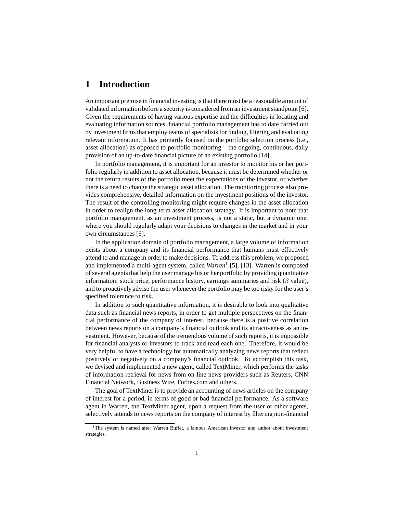### **1 Introduction**

An important premise in financial investing is that there must be a reasonable amount of validated information before a security is considered from an investment standpoint [6]. Given the requirements of having various expertise and the difficulties in locating and evaluating information sources, financial portfolio management has to date carried out by investment firms that employ teams of specialists for finding, filtering and evaluating relevant information. It has primarily focused on the portfolio selection process (i.e., asset allocation) as opposed to portfolio monitoring – the ongoing, continuous, daily provision of an up-to-date financial picture of an existing portfolio [14].

In portfolio management, it is important for an investor to monitor his or her portfolio regularly in addition to asset allocation, because it must be determined whether or not the return results of the portfolio meet the expectations of the investor, or whether there is a need to change the strategic asset allocation. The monitoring process also provides comprehensive, detailed information on the investment positions of the investor. The result of the controlling monitoring might require changes in the asset allocation in order to realign the long-term asset allocation strategy. It is important to note that portfolio management, as an investment process, is not a static, but a dynamic one, where you should regularly adapt your decisions to changes in the market and in your own circumstances [6].

In the application domain of portfolio management, a large volume of information exists about a company and its financial performance that humans must effectively attend to and manage in order to make decisions. To address this problem, we proposed and implemented a multi-agent system, called *Warren*<sup>1</sup> [5], [13]. Warren is composed of several agents that help the user manage his or her portfolio by providing quantitative information: stock price, performance history, earnings summaries and risk  $(\beta \text{ value})$ , and to proactively advise the user whenever the portfolio may be too risky for the user's specified tolerance to risk.

In addition to such quantitative information, it is desirable to look into qualitative data such as financial news reports, in order to get multiple perspectives on the financial performance of the company of interest, because there is a positive correlation between news reports on a company's financial outlook and its attractiveness as an investment. However, because of the tremendous volume of such reports, it is impossible for financial analysts or investors to track and read each one. Therefore, it would be very helpful to have a technology for automatically analyzing news reports that reflect positively or negatively on a company's financial outlook. To accomplish this task, we devised and implemented a new agent, called TextMiner, which performs the tasks of information retrieval for news from on-line news providers such as Reuters, CNN Financial Network, Business Wire, Forbes.com and others.

The goal of TextMiner is to provide an accounting of news articles on the company of interest for a period, in terms of good or bad financial performance. As a software agent in Warren, the TextMiner agent, upon a request from the user or other agents, selectively attends to news reports on the company of interest by filtering non-financial

 $1$ The system is named after Warren Buffet, a famous American investor and author about investment strategies.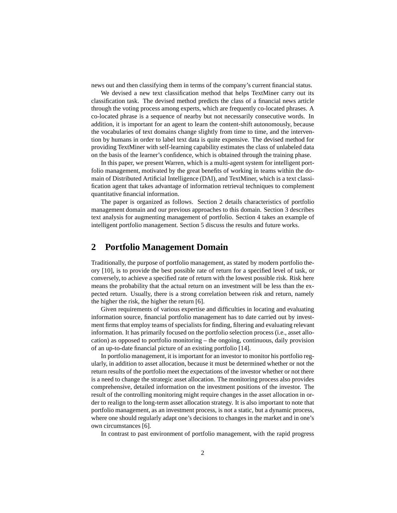news out and then classifying them in terms of the company's current financial status.

We devised a new text classification method that helps TextMiner carry out its classification task. The devised method predicts the class of a financial news article through the voting process among experts, which are frequently co-located phrases. A co-located phrase is a sequence of nearby but not necessarily consecutive words. In addition, it is important for an agent to learn the content-shift autonomously, because the vocabularies of text domains change slightly from time to time, and the intervention by humans in order to label text data is quite expensive. The devised method for providing TextMiner with self-learning capability estimates the class of unlabeled data on the basis of the learner's confidence, which is obtained through the training phase.

In this paper, we present Warren, which is a multi-agent system for intelligent portfolio management, motivated by the great benefits of working in teams within the domain of Distributed Artificial Intelligence (DAI), and TextMiner, which is a text classification agent that takes advantage of information retrieval techniques to complement quantitative financial information.

The paper is organized as follows. Section 2 details characteristics of portfolio management domain and our previous approaches to this domain. Section 3 describes text analysis for augmenting management of portfolio. Section 4 takes an example of intelligent portfolio management. Section 5 discuss the results and future works.

### **2 Portfolio Management Domain**

Traditionally, the purpose of portfolio management, as stated by modern portfolio theory [10], is to provide the best possible rate of return for a specified level of task, or conversely, to achieve a specified rate of return with the lowest possible risk. Risk here means the probability that the actual return on an investment will be less than the expected return. Usually, there is a strong correlation between risk and return, namely the higher the risk, the higher the return [6].

Given requirements of various expertise and difficulties in locating and evaluating information source, financial portfolio management has to date carried out by investment firms that employ teams of specialists for finding, filtering and evaluating relevant information. It has primarily focused on the portfolio selection process (i.e., asset allocation) as opposed to portfolio monitoring – the ongoing, continuous, daily provision of an up-to-date financial picture of an existing portfolio [14].

In portfolio management, it is important for an investor to monitor his portfolio regularly, in addition to asset allocation, because it must be determined whether or not the return results of the portfolio meet the expectations of the investor whether or not there is a need to change the strategic asset allocation. The monitoring process also provides comprehensive, detailed information on the investment positions of the investor. The result of the controlling monitoring might require changes in the asset allocation in order to realign to the long-term asset allocation strategy. It is also important to note that portfolio management, as an investment process, is not a static, but a dynamic process, where one should regularly adapt one's decisions to changes in the market and in one's own circumstances [6].

In contrast to past environment of portfolio management, with the rapid progress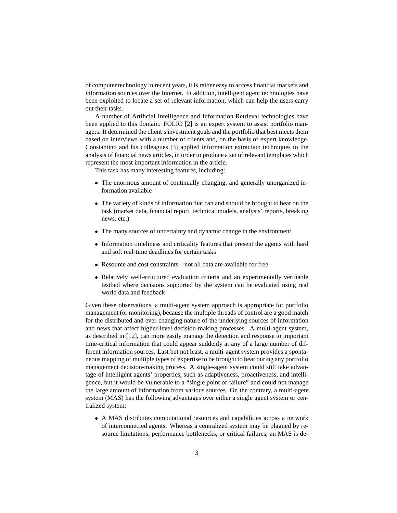of computer technology in recent years, it is rather easy to access financial markets and information sources over the Internet. In addition, intelligent agent technologies have been exploited to locate a set of relevant information, which can help the users carry out their tasks.

A number of Artificial Intelligence and Information Retrieval technologies have been applied to this domain. FOLIO [2] is an expert system to assist portfolio managers. It determined the client's investment goals and the portfolio that best meets them based on interviews with a number of clients and, on the basis of expert knowledge. Constantino and his colleagues [3] applied information extraction techniques to the analysis of financial news articles, in order to produce a set of relevant templates which represent the most important information in the article.

This task has many interesting features, including:

- The enormous amount of continually changing, and generally unorganized information available
- The variety of kinds of information that can and should be brought to bear on the task (market data, financial report, technical models, analysts' reports, breaking news, etc.)
- The many sources of uncertainty and dynamic change in the environment
- Information timeliness and criticality features that present the agents with hard and soft real-time deadlines for certain tasks
- Resource and cost constraints not all data are available for free
- Relatively well-structured evaluation criteria and an experimentally verifiable testbed where decisions supported by the system can be evaluated using real world data and feedback

Given these observations, a multi-agent system approach is appropriate for portfolio management (or monitoring), because the multiple threads of control are a good match for the distributed and ever-changing nature of the underlying sources of information and news that affect higher-level decision-making processes. A multi-agent system, as described in [12], can more easily manage the detection and response to important time-critical information that could appear suddenly at any of a large number of different information sources. Last but not least, a multi-agent system provides a spontaneous mapping of multiple types of expertise to be brought to bear during any portfolio management decision-making process. A single-agent system could still take advantage of intelligent agents' properties, such as adaptiveness, proactiveness, and intelligence, but it would be vulnerable to a "single point of failure" and could not manage the large amount of information from various sources. On the contrary, a multi-agent system (MAS) has the following advantages over either a single agent system or centralized system:

 A MAS distributes computational resources and capabilities across a network of interconnected agents. Whereas a centralized system may be plagued by resource limitations, performance bottlenecks, or critical failures, an MAS is de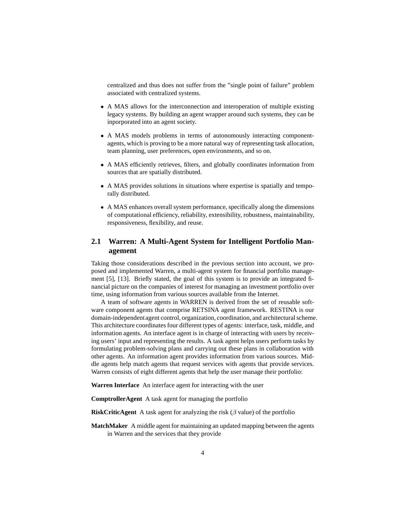centralized and thus does not suffer from the "single point of failure" problem associated with centralized systems.

- A MAS allows for the interconnection and interoperation of multiple existing legacy systems. By building an agent wrapper around such systems, they can be inporporated into an agent society.
- A MAS models problems in terms of autonomously interacting componentagents, which is proving to be a more natural way of representing task allocation, team planning, user preferences, open environments, and so on.
- A MAS efficiently retrieves, filters, and globally coordinates information from sources that are spatially distributed.
- A MAS provides solutions in situations where expertise is spatially and temporally distributed.
- A MAS enhances overall system performance, specifically along the dimensions of computational efficiency, reliability, extensibility, robustness, maintainability, responsiveness, flexibility, and reuse.

### **2.1 Warren: A Multi-Agent System for Intelligent Portfolio Management**

Taking those considerations described in the previous section into account, we proposed and implemented Warren, a multi-agent system for financial portfolio management [5], [13]. Briefly stated, the goal of this system is to provide an integrated financial picture on the companies of interest for managing an investment portfolio over time, using information from various sources available from the Internet.

A team of software agents in WARREN is derived from the set of reusable software component agents that comprise RETSINA agent framework. RESTINA is our domain-independentagent control, organization, coordination, and architectural scheme. This architecture coordinates four different types of agents: interface, task, middle, and information agents. An interface agent is in charge of interacting with users by receiving users' input and representing the results. A task agent helps users perform tasks by formulating problem-solving plans and carrying out these plans in collaboration with other agents. An information agent provides information from various sources. Middle agents help match agents that request services with agents that provide services. Warren consists of eight different agents that help the user manage their portfolio:

**Warren Interface** An interface agent for interacting with the user

**ComptrollerAgent** A task agent for managing the portfolio

**RiskCriticAgent** A task agent for analyzing the risk  $(\beta$  value) of the portfolio

**MatchMaker** A middle agent for maintaining an updated mapping between the agents in Warren and the services that they provide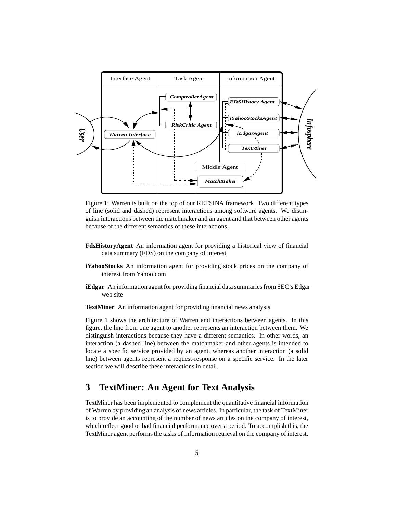

Figure 1: Warren is built on the top of our RETSINA framework. Two different types of line (solid and dashed) represent interactions among software agents. We distinguish interactions between the matchmaker and an agent and that between other agents because of the different semantics of these interactions.

- **FdsHistoryAgent** An information agent for providing a historical view of financial data summary (FDS) on the company of interest
- **iYahooStocks** An information agent for providing stock prices on the company of interest from Yahoo.com
- **iEdgar** An information agent for providing financial data summaries from SEC's Edgar web site

**TextMiner** An information agent for providing financial news analysis

Figure 1 shows the architecture of Warren and interactions between agents. In this figure, the line from one agent to another represents an interaction between them. We distinguish interactions because they have a different semantics. In other words, an interaction (a dashed line) between the matchmaker and other agents is intended to locate a specific service provided by an agent, whereas another interaction (a solid line) between agents represent a request-response on a specific service. In the later section we will describe these interactions in detail.

### **3 TextMiner: An Agent for Text Analysis**

TextMiner has been implemented to complement the quantitative financial information of Warren by providing an analysis of news articles. In particular, the task of TextMiner is to provide an accounting of the number of news articles on the company of interest, which reflect good or bad financial performance over a period. To accomplish this, the TextMiner agent performs the tasks of information retrieval on the company of interest,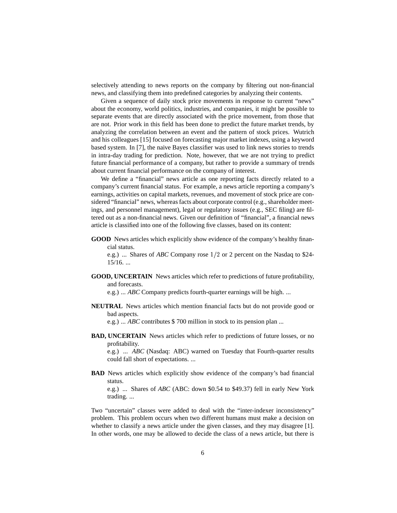selectively attending to news reports on the company by filtering out non-financial news, and classifying them into predefined categories by analyzing their contents.

Given a sequence of daily stock price movements in response to current "news" about the economy, world politics, industries, and companies, it might be possible to separate events that are directly associated with the price movement, from those that are not. Prior work in this field has been done to predict the future market trends, by analyzing the correlation between an event and the pattern of stock prices. Wutrich and his colleagues [15] focused on forecasting major market indexes, using a keyword based system. In [7], the naive Bayes classifier was used to link news stories to trends in intra-day trading for prediction. Note, however, that we are not trying to predict future financial performance of a company, but rather to provide a summary of trends about current financial performance on the company of interest.

We define a "financial" news article as one reporting facts directly related to a company's current financial status. For example, a news article reporting a company's earnings, activities on capital markets, revenues, and movement of stock price are considered "financial" news, whereas facts about corporate control (e.g., shareholder meetings, and personnel management), legal or regulatory issues (e.g., SEC filing) are filtered out as a non-financial news. Given our definition of "financial", a financial news article is classified into one of the following five classes, based on its content:

**GOOD** News articles which explicitly show evidence of the company's healthy financial status.

e.g.) ... Shares of *ABC* Company rose  $1/2$  or 2 percent on the Nasdaq to \$24-15/16. ...

**GOOD, UNCERTAIN** News articles which refer to predictions of future profitability, and forecasts.

e.g.) ... *ABC* Company predicts fourth-quarter earnings will be high. ...

**NEUTRAL** News articles which mention financial facts but do not provide good or bad aspects.

e.g.) ... *ABC* contributes \$ 700 million in stock to its pension plan ...

**BAD, UNCERTAIN** News articles which refer to predictions of future losses, or no profitability.

e.g.) ... *ABC* (Nasdaq: ABC) warned on Tuesday that Fourth-quarter results could fall short of expectations. ...

**BAD** News articles which explicitly show evidence of the company's bad financial status.

e.g.) ... Shares of *ABC* (ABC: down \$0.54 to \$49.37) fell in early New York trading. ...

Two "uncertain" classes were added to deal with the "inter-indexer inconsistency" problem. This problem occurs when two different humans must make a decision on whether to classify a news article under the given classes, and they may disagree [1]. In other words, one may be allowed to decide the class of a news article, but there is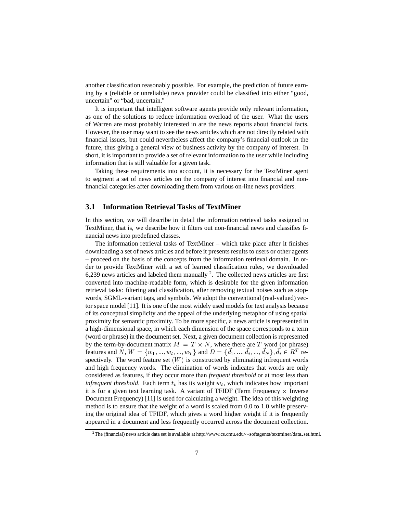another classification reasonably possible. For example, the prediction of future earning by a (reliable or unreliable) news provider could be classified into either "good, uncertain" or "bad, uncertain."

It is important that intelligent software agents provide only relevant information, as one of the solutions to reduce information overload of the user. What the users of Warren are most probably interested in are the news reports about financial facts. However, the user may want to see the news articles which are not directly related with financial issues, but could nevertheless affect the company's financial outlook in the future, thus giving a general view of business activity by the company of interest. In short, it is important to provide a set of relevant information to the user while including information that is still valuable for a given task.

Taking these requirements into account, it is necessary for the TextMiner agent to segment a set of news articles on the company of interest into financial and nonfinancial categories after downloading them from various on-line news providers.

#### **3.1 Information Retrieval Tasks of TextMiner**

In this section, we will describe in detail the information retrieval tasks assigned to TextMiner, that is, we describe how it filters out non-financial news and classifies financial news into predefined classes.

The information retrieval tasks of TextMiner – which take place after it finishes downloading a set of news articles and before it presents results to users or other agents – proceed on the basis of the concepts from the information retrieval domain. In order to provide TextMiner with a set of learned classification rules, we downloaded 6,239 news articles and labeled them manually  $2$ . The collected news articles are first converted into machine-readable form, which is desirable for the given information retrieval tasks: filtering and classification, after removing textual noises such as stopwords, SGML-variant tags, and symbols. We adopt the conventional (real-valued) vector space model [11]. It is one of the most widely used models for text analysis because of its conceptual simplicity and the appeal of the underlying metaphor of using spatial proximity for semantic proximity. To be more specific, a news article is represented in a high-dimensional space, in which each dimension of the space corresponds to a term (word or phrase) in the document set. Next, a given document collection is represented by the term-by-document matrix  $M = T \times N$ , where there are T word (or phrase) features and N,  $W = \{w_1, ..., w_t, ..., w_T\}$  and  $D = \{d_1, ..., d_i, ..., d_N\}, d_i \in R^T$  respectively. The word feature set  $(W)$  is constructed by eliminating infrequent words and high frequency words. The elimination of words indicates that words are only considered as features, if they occur more than *frequent threshold* or at most less than *infrequent threshold*. Each term  $t_t$  has its weight  $w_t$ , which indicates how important it is for a given text learning task. A variant of TFIDF (Term Frequency  $\times$  Inverse Document Frequency) [11] is used for calculating a weight. The idea of this weighting method is to ensure that the weight of a word is scaled from 0.0 to 1.0 while preserving the original idea of TFIDF, which gives a word higher weight if it is frequently appeared in a document and less frequently occurred across the document collection.

 ${}^{2}$ The (financial) news article data set is available at http://www.cs.cmu.edu/ $\sim$ softagents/textminer/data\_set.html.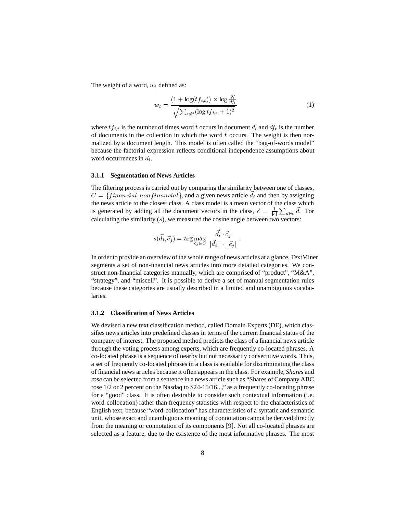The weight of a word,  $w_t$  defined as:

$$
w_t = \frac{(1 + \log(tf_{i,t})) \times \log \frac{N}{df_t}}{\sqrt{\sum_{s \neq t} (\log tf_{i,s} + 1)^2}}
$$
(1)

where  $tf_{i,t}$  is the number of times word t occurs in document  $d_i$  and  $df_t$  is the number of documents in the collection in which the word  $t$  occurs. The weight is then normalized by a document length. This model is often called the "bag-of-words model" because the factorial expression reflects conditional independence assumptions about word occurrences in  $d_i$ .

#### **3.1.1 Segmentation of News Articles**

The filtering process is carried out by comparing the similarity between one of classes,  $C = \{financial, nonfinancial\}$ , and a given news article  $\overline{d_i}$  and then by assigning the news article to the closest class. A class model is a mean vector of the class which is generated by adding all the document vectors in the class,  $\vec{c} = \frac{1}{|c|} \sum_{d \in c} d$ . For calculating the similarity  $(s)$ , we measured the cosine angle between two vectors:

$$
s(\vec{d}_i, \vec{c}_j) = \arg\max_{c_j \in C} \frac{\vec{d}_i \cdot \vec{c}_j}{||\vec{d}_i|| \cdot ||\vec{c}_j||}
$$

en in ju<br>ge of news articles at a<br>to more detailed cat In order to provide an overview of the whole range of news articles at a glance, TextMiner segments a set of non-financial news articles into more detailed categories. We construct non-financial categories manually, which are comprised of "product", "M&A", "strategy", and "miscell". It is possible to derive a set of manual segmentation rules because these categories are usually described in a limited and unambiguous vocabularies.

#### **3.1.2 Classification of News Articles**

We devised a new text classification method, called Domain Experts (DE), which classifies news articles into predefined classes in terms of the current financial status of the company of interest. The proposed method predicts the class of a financial news article through the voting process among experts, which are frequently co-located phrases. A co-located phrase is a sequence of nearby but not necessarily consecutive words. Thus, a set of frequently co-located phrases in a class is available for discriminating the class of financial news articles because it often appears in the class. For example, *Shares* and *rose* can be selected from a sentence in a news article such as "Shares of Company ABC rose  $1/2$  or 2 percent on the Nasdaq to \$24-15/16...," as a frequently co-locating phrase for a "good" class. It is often desirable to consider such contextual information (i.e. word-collocation) rather than frequency statistics with respect to the characteristics of English text, because "word-collocation" has characteristics of a syntatic and semantic unit, whose exact and unambiguous meaning of connotation cannot be derived directly from the meaning or connotation of its components [9]. Not all co-located phrases are selected as a feature, due to the existence of the most informative phrases. The most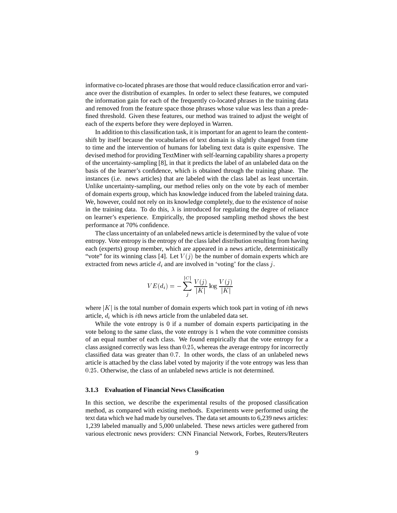informative co-located phrases are those that would reduce classification error and variance over the distribution of examples. In order to select these features, we computed the information gain for each of the frequently co-located phrases in the training data and removed from the feature space those phrases whose value was less than a predefined threshold. Given these features, our method was trained to adjust the weight of each of the experts before they were deployed in Warren.

In addition to this classification task, it is important for an agent to learn the contentshift by itself because the vocabularies of text domain is slightly changed from time to time and the intervention of humans for labeling text data is quite expensive. The devised method for providing TextMiner with self-learning capability shares a property of the uncertainty-sampling [8], in that it predicts the label of an unlabeled data on the basis of the learner's confidence, which is obtained through the training phase. The instances (i.e. news articles) that are labeled with the class label as least uncertain. Unlike uncertainty-sampling, our method relies only on the vote by each of member of domain experts group, which has knowledge induced from the labeled training data. We, however, could not rely on its knowledge completely, due to the existence of noise in the training data. To do this,  $\lambda$  is introduced for regulating the degree of reliance on learner's experience. Empirically, the proposed sampling method shows the best performance at 70% confidence.

The class uncertainty of an unlabeled news article is determined by the value of vote entropy. Vote entropy is the entropy of the class label distribution resulting from having each (experts) group member, which are appeared in a news article, deterministically "vote" for its winning class [4]. Let  $V(j)$  be the number of domain experts which are extracted from news article  $d_i$  and are involved in 'voting' for the class j.

$$
VE(d_i) = -\sum_j^{|C|} \frac{V(j)}{|K|} \log \frac{V(j)}{|K|}
$$

where  $|K|$  is the total number of domain experts which took part in voting of *i*th news article,  $d_i$  which is *i*th news article from the unlabeled data set.

While the vote entropy is 0 if a number of domain experts participating in the vote belong to the same class, the vote entropy is 1 when the vote committee consists of an equal number of each class. We found empirically that the vote entropy for a class assigned correctly was less than 0:25, whereas the average entropy for incorrectly classified data was greater than 0:7. In other words, the class of an unlabeled news article is attached by the class label voted by majority if the vote entropy was less than 0:25. Otherwise, the class of an unlabeled news article is not determined.

#### **3.1.3 Evaluation of Financial News Classification**

In this section, we describe the experimental results of the proposed classification method, as compared with existing methods. Experiments were performed using the text data which we had made by ourselves. The data set amounts to 6,239 news articles: 1,239 labeled manually and 5,000 unlabeled. These news articles were gathered from various electronic news providers: CNN Financial Network, Forbes, Reuters/Reuters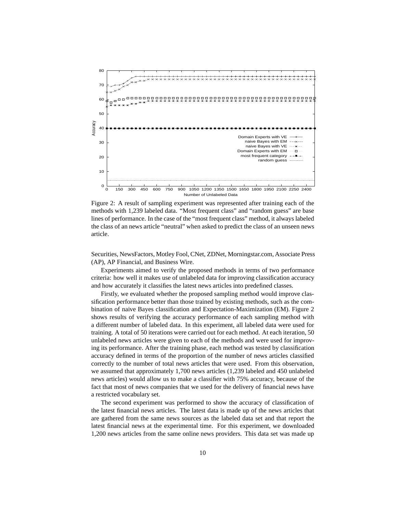

Figure 2: A result of sampling experiment was represented after training each of the methods with 1,239 labeled data. "Most frequent class" and "random guess" are base lines of performance. In the case of the "most frequent class" method, it always labeled the class of an news article "neutral" when asked to predict the class of an unseen news article.

Securities, NewsFactors, Motley Fool, CNet, ZDNet, Morningstar.com, Associate Press (AP), AP Financial, and Business Wire.

Experiments aimed to verify the proposed methods in terms of two performance criteria: how well it makes use of unlabeled data for improving classification accuracy and how accurately it classifies the latest news articles into predefined classes.

Firstly, we evaluated whether the proposed sampling method would improve classification performance better than those trained by existing methods, such as the combination of naive Bayes classification and Expectation-Maximization (EM). Figure 2 shows results of verifying the accuracy performance of each sampling method with a different number of labeled data. In this experiment, all labeled data were used for training. A total of 50 iterations were carried out for each method. At each iteration, 50 unlabeled news articles were given to each of the methods and were used for improving its performance. After the training phase, each method was tested by classification accuracy defined in terms of the proportion of the number of news articles classified correctly to the number of total news articles that were used. From this observation, we assumed that approximately 1,700 news articles (1,239 labeled and 450 unlabeled news articles) would allow us to make a classifier with 75% accuracy, because of the fact that most of news companies that we used for the delivery of financial news have a restricted vocabulary set.

The second experiment was performed to show the accuracy of classification of the latest financial news articles. The latest data is made up of the news articles that are gathered from the same news sources as the labeled data set and that report the latest financial news at the experimental time. For this experiment, we downloaded 1,200 news articles from the same online news providers. This data set was made up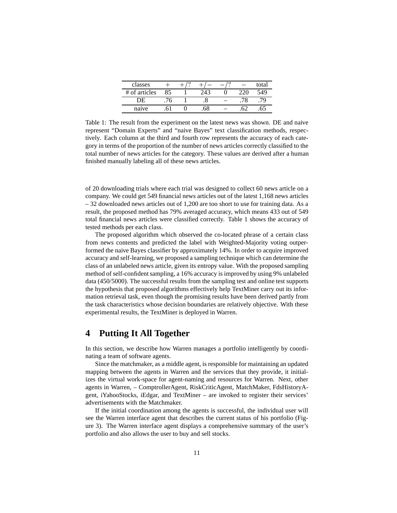| classes       |         |     |  | total |
|---------------|---------|-----|--|-------|
| # of articles | $Q \in$ |     |  | 549   |
|               |         |     |  |       |
| naive         |         | 50. |  |       |

Table 1: The result from the experiment on the latest news was shown. DE and naive represent "Domain Experts" and "naive Bayes" text classification methods, respectively. Each column at the third and fourth row represents the accuracy of each category in terms of the proportion of the number of news articles correctly classified to the total number of news articles for the category. These values are derived after a human finished manually labeling all of these news articles.

of 20 downloading trials where each trial was designed to collect 60 news article on a company. We could get 549 financial news articles out of the latest 1,168 news articles – 32 downloaded news articles out of 1,200 are too short to use for training data. As a result, the proposed method has 79% averaged accuracy, which means 433 out of 549 total financial news articles were classified correctly. Table 1 shows the accuracy of tested methods per each class.

The proposed algorithm which observed the co-located phrase of a certain class from news contents and predicted the label with Weighted-Majority voting outperformed the naive Bayes classifier by approximately 14%. In order to acquire improved accuracy and self-learning, we proposed a sampling technique which can determine the class of an unlabeled news article, given its entropy value. With the proposed sampling method of self-confident sampling, a 16% accuracy is improved by using 9% unlabeled data (450/5000). The successful results from the sampling test and online test supports the hypothesis that proposed algorithms effectively help TextMiner carry out its information retrieval task, even though the promising results have been derived partly from the task characteristics whose decision boundaries are relatively objective. With these experimental results, the TextMiner is deployed in Warren.

### **4 Putting It All Together**

In this section, we describe how Warren manages a portfolio intelligently by coordinating a team of software agents.

Since the matchmaker, as a middle agent, is responsible for maintaining an updated mapping between the agents in Warren and the services that they provide, it initializes the virtual work-space for agent-naming and resources for Warren. Next, other agents in Warren, – ComptrollerAgent, RiskCriticAgent, MatchMaker, FdsHistoryAgent, iYahooStocks, iEdgar, and TextMiner – are invoked to register their services' advertisements with the Matchmaker.

If the initial coordination among the agents is successful, the individual user will see the Warren interface agent that describes the current status of his portfolio (Figure 3). The Warren interface agent displays a comprehensive summary of the user's portfolio and also allows the user to buy and sell stocks.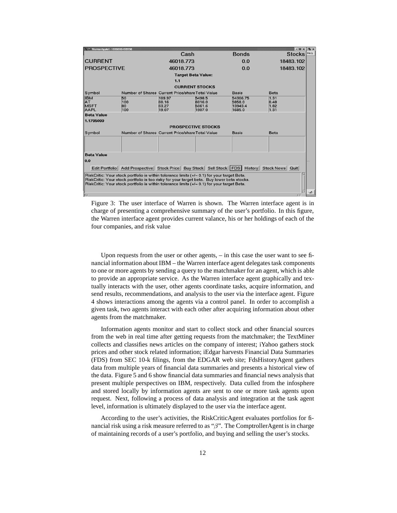| X <sup>-&gt;</sup> WarrenApplet-1005005459990                                                                                                                                                                                                                                                        |                                                  |                         |                                                                                         |                             | eloix<br>$\sqrt{2}$   |  |  |  |  |  |  |
|------------------------------------------------------------------------------------------------------------------------------------------------------------------------------------------------------------------------------------------------------------------------------------------------------|--------------------------------------------------|-------------------------|-----------------------------------------------------------------------------------------|-----------------------------|-----------------------|--|--|--|--|--|--|
|                                                                                                                                                                                                                                                                                                      |                                                  | Cash                    |                                                                                         | <b>Bonds</b>                | Help<br><b>Stocks</b> |  |  |  |  |  |  |
| <b>CURRENT</b>                                                                                                                                                                                                                                                                                       |                                                  | 46018.773               |                                                                                         | 0.0                         | 18483.102             |  |  |  |  |  |  |
| <b>PROSPECTIVE</b>                                                                                                                                                                                                                                                                                   |                                                  | 46018.773               |                                                                                         | 0.0                         | 18483.102             |  |  |  |  |  |  |
| <b>Target Beta Value:</b>                                                                                                                                                                                                                                                                            |                                                  |                         |                                                                                         |                             |                       |  |  |  |  |  |  |
| 1.1                                                                                                                                                                                                                                                                                                  |                                                  |                         |                                                                                         |                             |                       |  |  |  |  |  |  |
| <b>CURRENT STOCKS</b><br>Number of Shares Current Price/share Total Value<br>Basis<br><b>Beta</b><br>50<br>54366.75<br>1.31<br>109.97<br>5498.5                                                                                                                                                      |                                                  |                         |                                                                                         |                             |                       |  |  |  |  |  |  |
| Symbol                                                                                                                                                                                                                                                                                               |                                                  |                         |                                                                                         |                             |                       |  |  |  |  |  |  |
| <b>IBM</b><br>ΙAΤ<br><b>MSFT</b><br>AAPL                                                                                                                                                                                                                                                             | 100<br>80<br>100                                 | 60.16<br>63.27<br>19.07 | 6016.0<br>5061.6<br>1907.0                                                              | 5858.0<br>13943.4<br>1685.0 | 0.48<br>1.82<br>1.31  |  |  |  |  |  |  |
| <b>Beta Value</b>                                                                                                                                                                                                                                                                                    |                                                  |                         |                                                                                         |                             |                       |  |  |  |  |  |  |
| 1.1795099                                                                                                                                                                                                                                                                                            |                                                  |                         |                                                                                         |                             |                       |  |  |  |  |  |  |
| <b>PROSPECTIVE STOCKS</b>                                                                                                                                                                                                                                                                            |                                                  |                         |                                                                                         |                             |                       |  |  |  |  |  |  |
| Symbol                                                                                                                                                                                                                                                                                               | Number of Shares Current Price/share Total Value |                         |                                                                                         | <b>Basis</b>                | <b>Beta</b>           |  |  |  |  |  |  |
|                                                                                                                                                                                                                                                                                                      |                                                  |                         |                                                                                         |                             |                       |  |  |  |  |  |  |
| <b>Beta Value</b>                                                                                                                                                                                                                                                                                    |                                                  |                         |                                                                                         |                             |                       |  |  |  |  |  |  |
| 0.0                                                                                                                                                                                                                                                                                                  |                                                  |                         |                                                                                         |                             |                       |  |  |  |  |  |  |
|                                                                                                                                                                                                                                                                                                      |                                                  |                         | Edit Portfolio   Add Prospective   Stock Price   Buy Stock   Sell Stock   FDS   History |                             | Stock News Quit       |  |  |  |  |  |  |
| RiskCritic: Your stock portfolio is within tolerance limits (+/- 0.1) for your target Beta.<br>RiskCritic: Your stock portfolio is too risky for your target beta. Buy lower beta stocks.<br>RiskCritic: Your stock portfolio is within tolerance limits (+/- 0.1) for your target Beta.<br>ET<br>TЗ |                                                  |                         |                                                                                         |                             |                       |  |  |  |  |  |  |

Figure 3: The user interface of Warren is shown. The Warren interface agent is in charge of presenting a comprehensive summary of the user's portfolio. In this figure, the Warren interface agent provides current valance, his or her holdings of each of the four companies, and risk value

Upon requests from the user or other agents, – in this case the user want to see financial information about IBM – the Warren interface agent delegates task components to one or more agents by sending a query to the matchmaker for an agent, which is able to provide an appropriate service. As the Warren interface agent graphically and textually interacts with the user, other agents coordinate tasks, acquire information, and send results, recommendations, and analysis to the user via the interface agent. Figure 4 shows interactions among the agents via a control panel. In order to accomplish a given task, two agents interact with each other after acquiring information about other agents from the matchmaker.

Information agents monitor and start to collect stock and other financial sources from the web in real time after getting requests from the matchmaker; the TextMiner collects and classifies news articles on the company of interest; iYahoo gathers stock prices and other stock related information; iEdgar harvests Financial Data Summaries (FDS) from SEC 10-k filings, from the EDGAR web site; FdsHistoryAgent gathers data from multiple years of financial data summaries and presents a historical view of the data. Figure 5 and 6 show financial data summaries and financial news analysis that present multiple perspectives on IBM, respectively. Data culled from the infosphere and stored locally by information agents are sent to one or more task agents upon request. Next, following a process of data analysis and integration at the task agent level, information is ultimately displayed to the user via the interface agent.

According to the user's activities, the RiskCriticAgent evaluates portfolios for financial risk using a risk measure referred to as " $\beta$ ". The ComptrollerAgent is in charge of maintaining records of a user's portfolio, and buying and selling the user's stocks.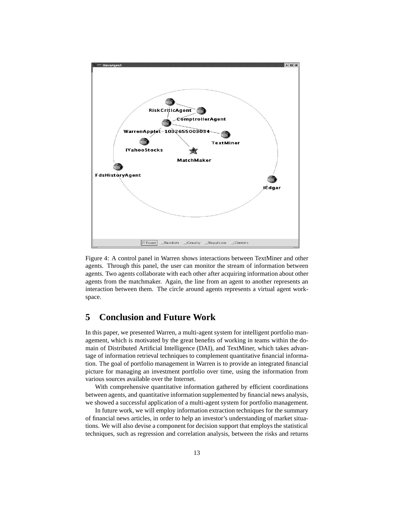

Figure 4: A control panel in Warren shows interactions between TextMiner and other agents. Through this panel, the user can monitor the stream of information between agents. Two agents collaborate with each other after acquiring information about other agents from the matchmaker. Again, the line from an agent to another represents an interaction between them. The circle around agents represents a virtual agent workspace.

### **5 Conclusion and Future Work**

In this paper, we presented Warren, a multi-agent system for intelligent portfolio management, which is motivated by the great benefits of working in teams within the domain of Distributed Artificial Intelligence (DAI), and TextMiner, which takes advantage of information retrieval techniques to complement quantitative financial information. The goal of portfolio management in Warren is to provide an integrated financial picture for managing an investment portfolio over time, using the information from various sources available over the Internet.

With comprehensive quantitative information gathered by efficient coordinations between agents, and quantitative information supplemented by financial news analysis, we showed a successful application of a multi-agent system for portfolio management.

In future work, we will employ information extraction techniques for the summary of financial news articles, in order to help an investor's understanding of market situations. We will also devise a component for decision support that employs the statistical techniques, such as regression and correlation analysis, between the risks and returns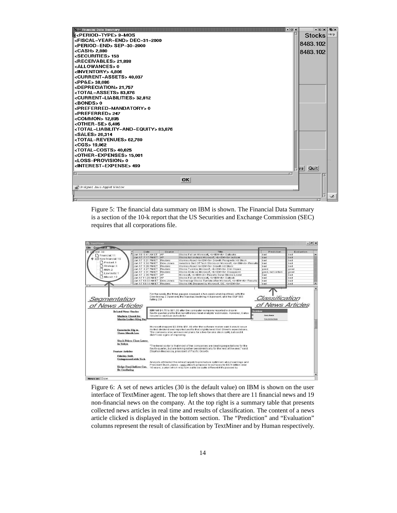

Figure 5: The financial data summary on IBM is shown. The Financial Data Summary is a section of the 10-k report that the US Securities and Exchange Commission (SEC) requires that all corporations file.



Figure 6: A set of news articles (30 is the default value) on IBM is shown on the user interface of TextMiner agent. The top left shows that there are 11 financial news and 19 non-financial news on the company. At the top right is a summary table that presents collected news articles in real time and results of classification. The content of a news article clicked is displayed in the bottom section. The "Prediction" and "Evaluation" columns represent the result of classification by TextMiner and by Human respectively.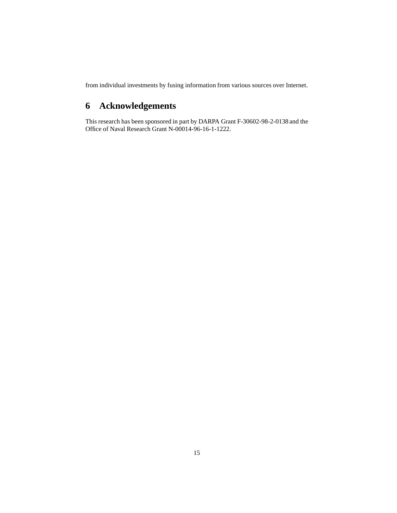from individual investments by fusing information from various sources over Internet.

## **6 Acknowledgements**

This research has been sponsored in part by DARPA Grant F-30602-98-2-0138 and the Office of Naval Research Grant N-00014-96-16-1-1222.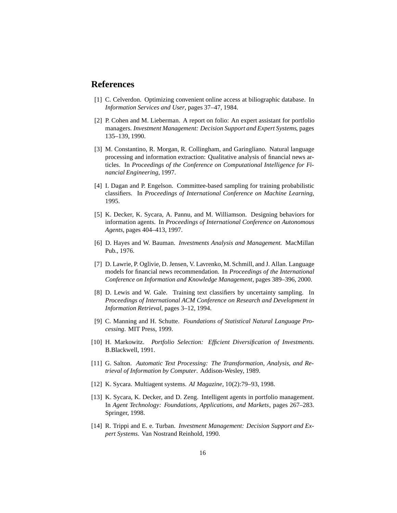### **References**

- [1] C. Celverdon. Optimizing convenient online access at biliographic database. In *Information Services and User*, pages 37–47, 1984.
- [2] P. Cohen and M. Lieberman. A report on folio: An expert assistant for portfolio managers. *Investment Management: Decision Support and Expert Systems*, pages 135–139, 1990.
- [3] M. Constantino, R. Morgan, R. Collingham, and Garingliano. Natural language processing and information extraction: Qualitative analysis of financial news articles. In *Proceedings of the Conference on Computational Intelligence for Financial Engineering*, 1997.
- [4] I. Dagan and P. Engelson. Committee-based sampling for training probabilistic classifiers. In *Proceedings of International Conference on Machine Learning*, 1995.
- [5] K. Decker, K. Sycara, A. Pannu, and M. Williamson. Designing behaviors for information agents. In *Proceedings of International Conference on Autonomous Agents*, pages 404–413, 1997.
- [6] D. Hayes and W. Bauman. *Investments Analysis and Management*. MacMillan Pub., 1976.
- [7] D. Lawrie, P. Oglivie, D. Jensen, V. Lavrenko, M. Schmill, and J. Allan. Language models for financial news recommendation. In *Proceedings of the International Conference on Information and Knowledge Management*, pages 389–396, 2000.
- [8] D. Lewis and W. Gale. Training text classifiers by uncertainty sampling. In *Proceedings of International ACM Conference on Research and Development in Information Retrieval*, pages 3–12, 1994.
- [9] C. Manning and H. Schutte. *Foundations of Statistical Natural Language Processing*. MIT Press, 1999.
- [10] H. Markowitz. *Portfolio Selection: Efficient Diversification of Investments*. B.Blackwell, 1991.
- [11] G. Salton. *Automatic Text Processing: The Transformation, Analysis, and Retrieval of Information by Computer*. Addison-Wesley, 1989.
- [12] K. Sycara. Multiagent systems. *AI Magazine*, 10(2):79–93, 1998.
- [13] K. Sycara, K. Decker, and D. Zeng. Intelligent agents in portfolio management. In *Agent Technology: Foundations, Applications, and Markets*, pages 267–283. Springer, 1998.
- [14] R. Trippi and E. e. Turban. *Investment Management: Decision Support and Expert Systems*. Van Nostrand Reinhold, 1990.